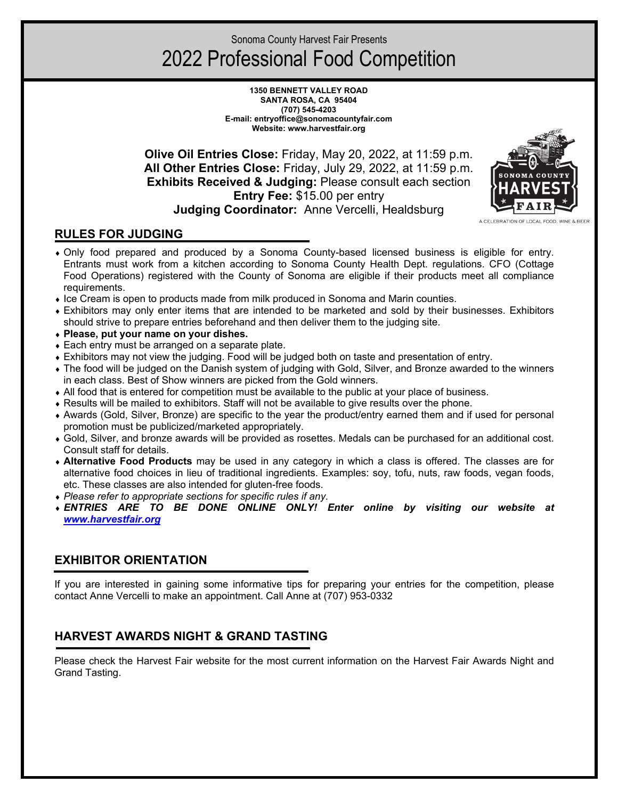Sonoma County Harvest Fair Presents

# 2022 Professional Food Competition

**1350 BENNETT VALLEY ROAD SANTA ROSA, CA 95404 (707) 545-4203 E-mail: entryoffice@sonomacountyfair.com Website: www.harvestfair.org** 

**Olive Oil Entries Close:** Friday, May 20, 2022, at 11:59 p.m. **All Other Entries Close:** Friday, July 29, 2022, at 11:59 p.m. **Exhibits Received & Judging:** Please consult each section **Entry Fee:** \$15.00 per entry **Judging Coordinator:** Anne Vercelli, Healdsburg



## **RULES FOR JUDGING**

- ♦ Only food prepared and produced by a Sonoma County-based licensed business is eligible for entry. Entrants must work from a kitchen according to Sonoma County Health Dept. regulations. CFO (Cottage Food Operations) registered with the County of Sonoma are eligible if their products meet all compliance requirements.
- ♦ Ice Cream is open to products made from milk produced in Sonoma and Marin counties.
- ♦ Exhibitors may only enter items that are intended to be marketed and sold by their businesses. Exhibitors should strive to prepare entries beforehand and then deliver them to the judging site.
- ♦ **Please, put your name on your dishes.**
- Each entry must be arranged on a separate plate.
- ♦ Exhibitors may not view the judging. Food will be judged both on taste and presentation of entry.
- ♦ The food will be judged on the Danish system of judging with Gold, Silver, and Bronze awarded to the winners in each class. Best of Show winners are picked from the Gold winners.
- ♦ All food that is entered for competition must be available to the public at your place of business.
- ♦ Results will be mailed to exhibitors. Staff will not be available to give results over the phone.
- ♦ Awards (Gold, Silver, Bronze) are specific to the year the product/entry earned them and if used for personal promotion must be publicized/marketed appropriately.
- ♦ Gold, Silver, and bronze awards will be provided as rosettes. Medals can be purchased for an additional cost. Consult staff for details.
- ♦ **Alternative Food Products** may be used in any category in which a class is offered. The classes are for alternative food choices in lieu of traditional ingredients. Examples: soy, tofu, nuts, raw foods, vegan foods, etc. These classes are also intended for gluten-free foods.
- ♦ *Please refer to appropriate sections for specific rules if any.*
- ♦ *ENTRIES ARE TO BE DONE ONLINE ONLY! Enter online by visiting our website at [www.harvestfair.org](http://www.harvestfair.org/)*

## **EXHIBITOR ORIENTATION**

If you are interested in gaining some informative tips for preparing your entries for the competition, please contact Anne Vercelli to make an appointment. Call Anne at (707) 953-0332

# **HARVEST AWARDS NIGHT & GRAND TASTING**

Please check the Harvest Fair website for the most current information on the Harvest Fair Awards Night and Grand Tasting.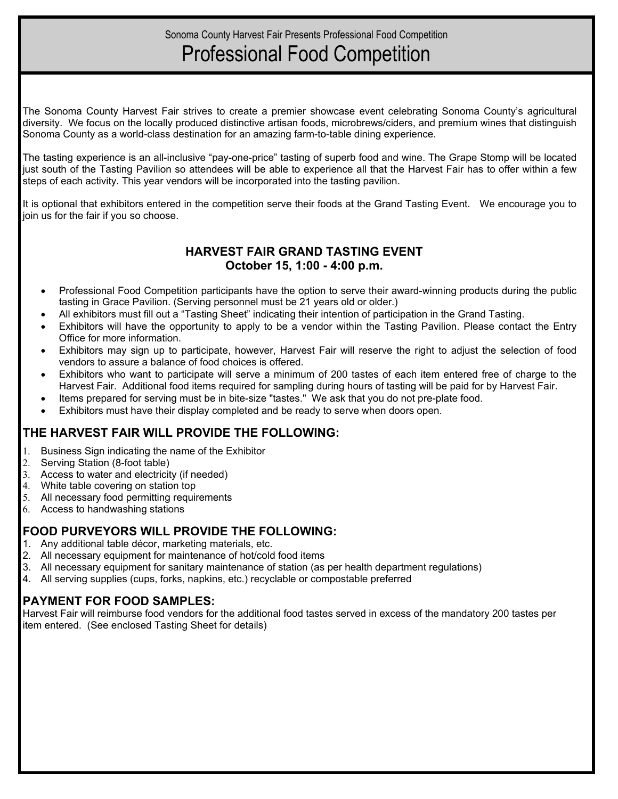# Professional Food Competition

The Sonoma County Harvest Fair strives to create a premier showcase event celebrating Sonoma County's agricultural diversity. We focus on the locally produced distinctive artisan foods, microbrews/ciders, and premium wines that distinguish Sonoma County as a world-class destination for an amazing farm-to-table dining experience.

The tasting experience is an all-inclusive "pay-one-price" tasting of superb food and wine. The Grape Stomp will be located just south of the Tasting Pavilion so attendees will be able to experience all that the Harvest Fair has to offer within a few steps of each activity. This year vendors will be incorporated into the tasting pavilion.

It is optional that exhibitors entered in the competition serve their foods at the Grand Tasting Event. We encourage you to join us for the fair if you so choose.

## **HARVEST FAIR GRAND TASTING EVENT October 15, 1:00 - 4:00 p.m.**

- Professional Food Competition participants have the option to serve their award-winning products during the public tasting in Grace Pavilion. (Serving personnel must be 21 years old or older.)
- All exhibitors must fill out a "Tasting Sheet" indicating their intention of participation in the Grand Tasting.
- Exhibitors will have the opportunity to apply to be a vendor within the Tasting Pavilion. Please contact the Entry Office for more information.
- Exhibitors may sign up to participate, however, Harvest Fair will reserve the right to adjust the selection of food vendors to assure a balance of food choices is offered.
- Exhibitors who want to participate will serve a minimum of 200 tastes of each item entered free of charge to the Harvest Fair. Additional food items required for sampling during hours of tasting will be paid for by Harvest Fair.
- Items prepared for serving must be in bite-size "tastes." We ask that you do not pre-plate food.
- Exhibitors must have their display completed and be ready to serve when doors open.

# **THE HARVEST FAIR WILL PROVIDE THE FOLLOWING:**

- Business Sign indicating the name of the Exhibitor
- Serving Station (8-foot table)
- 3. Access to water and electricity (if needed)
- 4. White table covering on station top
- 5. All necessary food permitting requirements
- 6. Access to handwashing stations

## **FOOD PURVEYORS WILL PROVIDE THE FOLLOWING:**

- 1. Any additional table décor, marketing materials, etc.
- 2. All necessary equipment for maintenance of hot/cold food items
- 3. All necessary equipment for sanitary maintenance of station (as per health department regulations)
- 4. All serving supplies (cups, forks, napkins, etc.) recyclable or compostable preferred

## **PAYMENT FOR FOOD SAMPLES:**

Harvest Fair will reimburse food vendors for the additional food tastes served in excess of the mandatory 200 tastes per item entered. (See enclosed Tasting Sheet for details)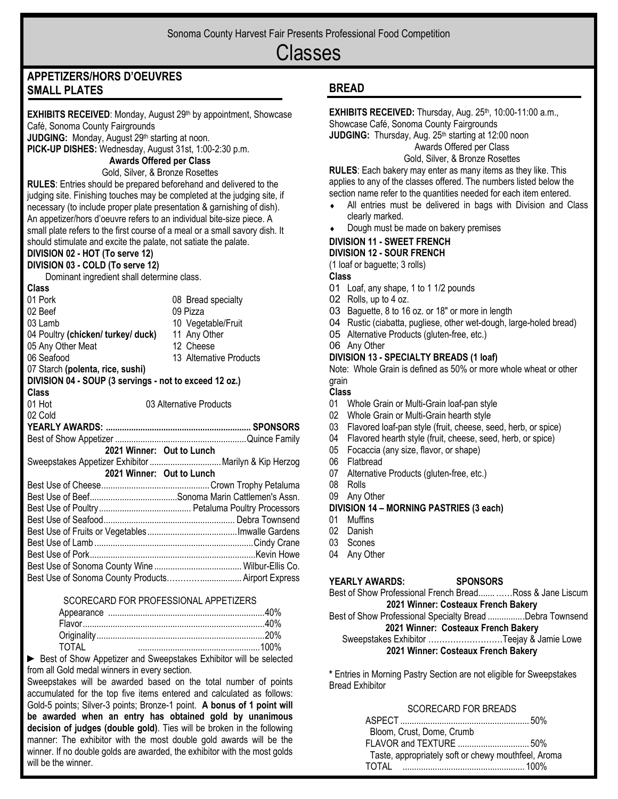# Classes

# **APPETIZERS/HORS D'OEUVRES SMALL PLATES**

**EXHIBITS RECEIVED:** Monday, August 29th by appointment, Showcase Café, Sonoma County Fairgrounds

**JUDGING:** Monday, August 29<sup>th</sup> starting at noon.

**PICK-UP DISHES:** Wednesday, August 31st, 1:00-2:30 p.m.

## **Awards Offered per Class**

Gold, Silver, & Bronze Rosettes

**RULES**: Entries should be prepared beforehand and delivered to the judging site. Finishing touches may be completed at the judging site, if necessary (to include proper plate presentation & garnishing of dish). An appetizer/hors d'oeuvre refers to an individual bite-size piece. A small plate refers to the first course of a meal or a small savory dish. It should stimulate and excite the palate, not satiate the palate.

# **DIVISION 02 - HOT (To serve 12)**

**DIVISION 03 - COLD (To serve 12)** Dominant ingredient shall determine class.

| Class                                                  |                           |
|--------------------------------------------------------|---------------------------|
| 01 Pork                                                | 08 Bread specialty        |
| 02 Beef                                                | 09 Pizza                  |
| 03 Lamb                                                | 10 Vegetable/Fruit        |
| 04 Poultry (chicken/turkey/duck)                       | 11 Any Other              |
| 05 Any Other Meat                                      | 12 Cheese                 |
| 06 Seafood                                             | 13 Alternative Products   |
| 07 Starch (polenta, rice, sushi)                       |                           |
| DIVISION 04 - SOUP (3 servings - not to exceed 12 oz.) |                           |
| Class                                                  |                           |
| 01 Hot                                                 | 03 Alternative Products   |
| 02 Cold                                                |                           |
|                                                        |                           |
|                                                        |                           |
| 2021 Winner: Out to Lunch                              |                           |
| Sweepstakes Appetizer Exhibitor  Marilyn & Kip Herzog  |                           |
|                                                        |                           |
|                                                        |                           |
|                                                        | 2021 Winner: Out to Lunch |
|                                                        |                           |
|                                                        |                           |
|                                                        |                           |
|                                                        |                           |
|                                                        |                           |
|                                                        |                           |
|                                                        |                           |
|                                                        |                           |

### SCORECARD FOR PROFESSIONAL APPETIZERS

| TOTAL |  |
|-------|--|

► Best of Show Appetizer and Sweepstakes Exhibitor will be selected from all Gold medal winners in every section.

Sweepstakes will be awarded based on the total number of points accumulated for the top five items entered and calculated as follows: Gold-5 points; Silver-3 points; Bronze-1 point. **A bonus of 1 point will be awarded when an entry has obtained gold by unanimous decision of judges (double gold)**. Ties will be broken in the following manner: The exhibitor with the most double gold awards will be the winner. If no double golds are awarded, the exhibitor with the most golds will be the winner.

## **BREAD**

**EXHIBITS RECEIVED:** Thursday, Aug. 25<sup>th</sup>, 10:00-11:00 a.m., Showcase Café, Sonoma County Fairgrounds

**JUDGING:** Thursday, Aug. 25<sup>th</sup> starting at 12:00 noon

Awards Offered per Class Gold, Silver, & Bronze Rosettes

**RULES**: Each bakery may enter as many items as they like. This applies to any of the classes offered. The numbers listed below the section name refer to the quantities needed for each item entered.

- ♦ All entries must be delivered in bags with Division and Class clearly marked.
- Dough must be made on bakery premises

#### **DIVISION 11 - SWEET FRENCH DIVISION 12 - SOUR FRENCH**

(1 loaf or baguette; 3 rolls)

### **Class**

- 01 Loaf, any shape, 1 to 1 1/2 pounds
- 02 Rolls, up to 4 oz.
- 03 Baguette, 8 to 16 oz. or 18" or more in length
- 04 Rustic (ciabatta, pugliese, other wet-dough, large-holed bread)
- 05 Alternative Products (gluten-free, etc.)
- 06 Any Other

## **DIVISION 13 - SPECIALTY BREADS (1 loaf)**

Note: Whole Grain is defined as 50% or more whole wheat or other grain

### **Class**

- 01 Whole Grain or Multi-Grain loaf-pan style
- 02 Whole Grain or Multi-Grain hearth style
- 03 Flavored loaf-pan style (fruit, cheese, seed, herb, or spice)
- 04 Flavored hearth style (fruit, cheese, seed, herb, or spice)
- 05 Focaccia (any size, flavor, or shape)
- 06 Flatbread
- 07 Alternative Products (gluten-free, etc.)
- 08 Rolls
- 09 Any Other

### **DIVISION 14 – MORNING PASTRIES (3 each)**

- 01 Muffins
- 02 Danish
- 03 Scones
- 04 Any Other

### **YEARLY AWARDS: SPONSORS**

Best of Show Professional French Bread....... ……Ross & Jane Liscum **2021 Winner: Costeaux French Bakery**

## Best of Show Professional Specialty Bread ................Debra Townsend **2021 Winner: Costeaux French Bakery**

#### Sweepstakes Exhibitor ………………………Teejay & Jamie Lowe **2021 Winner: Costeaux French Bakery**

**\*** Entries in Morning Pastry Section are not eligible for Sweepstakes Bread Exhibitor

### SCORECARD FOR BREADS

| Bloom, Crust, Dome, Crumb                           |  |
|-----------------------------------------------------|--|
|                                                     |  |
| Taste, appropriately soft or chewy mouthfeel, Aroma |  |
|                                                     |  |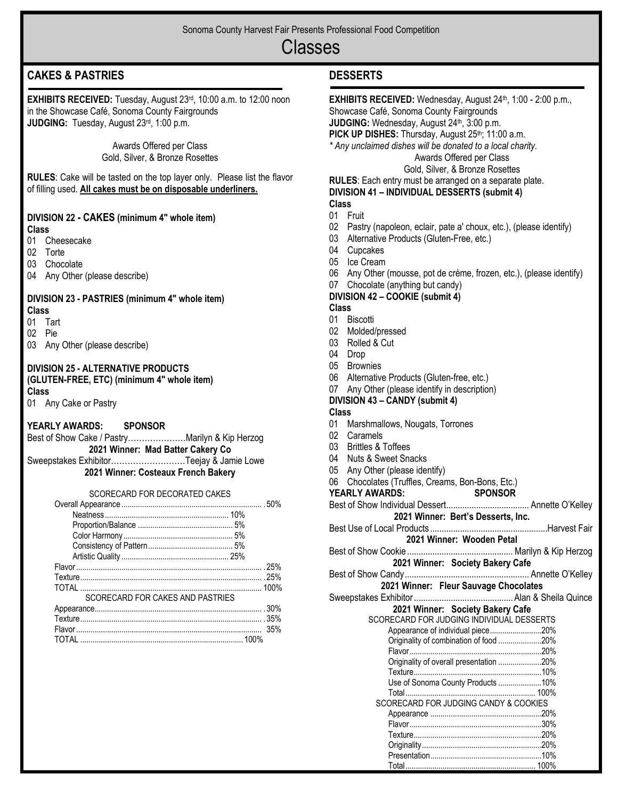# Classes

# **CAKES & PASTRIES**

**EXHIBITS RECEIVED:** Tuesday, August 23rd, 10:00 a.m. to 12:00 noon in the Showcase Café, Sonoma County Fairgrounds **JUDGING:** Tuesday, August 23rd, 1:00 p.m.

> Awards Offered per Class Gold, Silver, & Bronze Rosettes

**RULES**: Cake will be tasted on the top layer only. Please list the flavor of filling used. **All cakes must be on disposable underliners.** 

## **DIVISION 22 - CAKES (minimum 4" whole item)**

#### **Class**

- 01 Cheesecake
- 02 Torte
- 03 Chocolate
- 04 Any Other (please describe)

### **DIVISION 23 - PASTRIES (minimum 4" whole item)**

- **Class**
- 01 Tart
- 02 Pie
- 03 Any Other (please describe)

# **DIVISION 25 - ALTERNATIVE PRODUCTS**

**(GLUTEN-FREE, ETC) (minimum 4" whole item) Class**

01 Any Cake or Pastry

### **YEARLY AWARDS: SPONSOR**

- Best of Show Cake / Pastry…………………Marilyn & Kip Herzog **2021 Winner: Mad Batter Cakery Co**
- Sweepstakes Exhibitor………………………Teejay & Jamie Lowe **2021 Winner: Costeaux French Bakery**

### SCORECARD FOR DECORATED CAKES

|                                  | 100% |
|----------------------------------|------|
| SCORECARD FOR CAKES AND PASTRIES |      |
|                                  |      |
|                                  |      |
|                                  |      |
|                                  |      |

## **DESSERTS**

| <b>EXHIBITS RECEIVED:</b> Wednesday, August 24 <sup>th</sup> , 1:00 - 2:00 p.m.,<br>Showcase Café, Sonoma County Fairgrounds<br>JUDGING: Wednesday, August 24 <sup>th</sup> , 3:00 p.m.<br>PICK UP DISHES: Thursday, August 25th; 11:00 a.m.<br>* Any unclaimed dishes will be donated to a local charity.<br>Awards Offered per Class |
|----------------------------------------------------------------------------------------------------------------------------------------------------------------------------------------------------------------------------------------------------------------------------------------------------------------------------------------|
| Gold, Silver, & Bronze Rosettes<br>RULES: Each entry must be arranged on a separate plate.<br>DIVISION 41 - INDIVIDUAL DESSERTS (submit 4)                                                                                                                                                                                             |
| <b>Class</b>                                                                                                                                                                                                                                                                                                                           |
| 01 Fruit                                                                                                                                                                                                                                                                                                                               |
| 02 Pastry (napoleon, eclair, pate a' choux, etc.), (please identify)                                                                                                                                                                                                                                                                   |
| 03 Alternative Products (Gluten-Free, etc.)                                                                                                                                                                                                                                                                                            |
| 04 Cupcakes                                                                                                                                                                                                                                                                                                                            |
| 05 Ice Cream                                                                                                                                                                                                                                                                                                                           |
| 06 Any Other (mousse, pot de crème, frozen, etc.), (please identify)                                                                                                                                                                                                                                                                   |
| 07<br>Chocolate (anything but candy)                                                                                                                                                                                                                                                                                                   |
| DIVISION 42 - COOKIE (submit 4)                                                                                                                                                                                                                                                                                                        |
| <b>Class</b>                                                                                                                                                                                                                                                                                                                           |
| 01<br><b>Biscotti</b>                                                                                                                                                                                                                                                                                                                  |
| 02<br>Molded/pressed                                                                                                                                                                                                                                                                                                                   |
| 03 Rolled & Cut                                                                                                                                                                                                                                                                                                                        |
| 04 Drop                                                                                                                                                                                                                                                                                                                                |
| 05 Brownies                                                                                                                                                                                                                                                                                                                            |
| 06 Alternative Products (Gluten-free, etc.)                                                                                                                                                                                                                                                                                            |
| $07\,$<br>Any Other (please identify in description)                                                                                                                                                                                                                                                                                   |
| DIVISION 43 - CANDY (submit 4)                                                                                                                                                                                                                                                                                                         |
| <b>Class</b>                                                                                                                                                                                                                                                                                                                           |
| 01<br>Marshmallows, Nougats, Torrones                                                                                                                                                                                                                                                                                                  |
| 02<br>Caramels                                                                                                                                                                                                                                                                                                                         |
| 03 Brittles & Toffees                                                                                                                                                                                                                                                                                                                  |
| 04 Nuts & Sweet Snacks                                                                                                                                                                                                                                                                                                                 |
| 05 Any Other (please identify)                                                                                                                                                                                                                                                                                                         |
| 06 Chocolates (Truffles, Creams, Bon-Bons, Etc.)                                                                                                                                                                                                                                                                                       |
| <b>YEARLY AWARDS:</b><br><b>SPONSOR</b>                                                                                                                                                                                                                                                                                                |
|                                                                                                                                                                                                                                                                                                                                        |
| 2021 Winner: Bert's Desserts, Inc.                                                                                                                                                                                                                                                                                                     |
|                                                                                                                                                                                                                                                                                                                                        |
| 2021 Winner: Wooden Petal                                                                                                                                                                                                                                                                                                              |
|                                                                                                                                                                                                                                                                                                                                        |
| 2021 Winner: Society Bakery Cafe                                                                                                                                                                                                                                                                                                       |
|                                                                                                                                                                                                                                                                                                                                        |
| 2021 Winner: Fleur Sauvage Chocolates                                                                                                                                                                                                                                                                                                  |
|                                                                                                                                                                                                                                                                                                                                        |
| 2021 Winner: Society Bakery Cafe                                                                                                                                                                                                                                                                                                       |
| SCORECARD FOR JUDGING INDIVIDUAL DESSERTS                                                                                                                                                                                                                                                                                              |
| Appearance of individual piece20%<br>Originality of combination of food 20%                                                                                                                                                                                                                                                            |
|                                                                                                                                                                                                                                                                                                                                        |
| Originality of overall presentation 20%                                                                                                                                                                                                                                                                                                |
|                                                                                                                                                                                                                                                                                                                                        |
| Use of Sonoma County Products 10%                                                                                                                                                                                                                                                                                                      |
|                                                                                                                                                                                                                                                                                                                                        |
| SCORECARD FOR JUDGING CANDY & COOKIES                                                                                                                                                                                                                                                                                                  |
|                                                                                                                                                                                                                                                                                                                                        |
|                                                                                                                                                                                                                                                                                                                                        |
|                                                                                                                                                                                                                                                                                                                                        |
|                                                                                                                                                                                                                                                                                                                                        |
|                                                                                                                                                                                                                                                                                                                                        |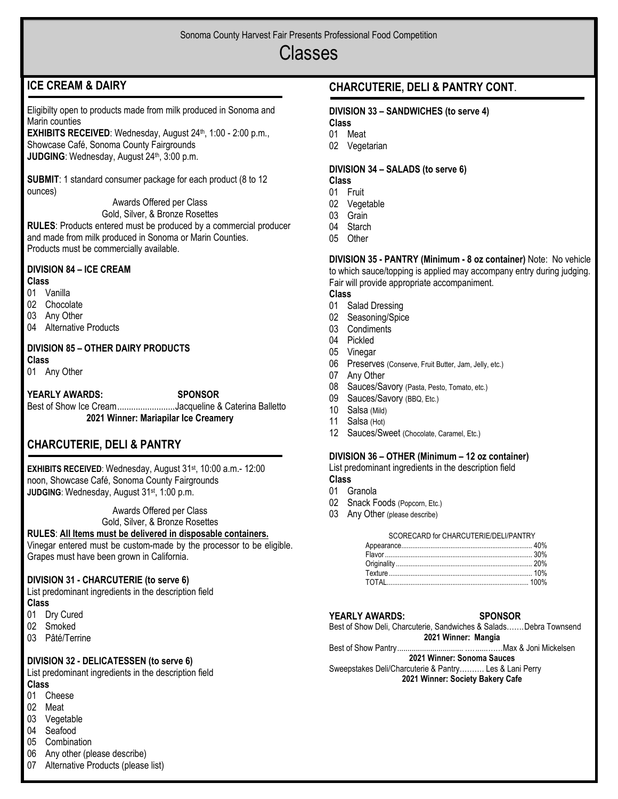# Classes

# **ICE CREAM & DAIRY**

Eligibilty open to products made from milk produced in Sonoma and Marin counties

**EXHIBITS RECEIVED:** Wednesday, August 24<sup>th</sup>, 1:00 - 2:00 p.m., Showcase Café, Sonoma County Fairgrounds **JUDGING**: Wednesday, August 24<sup>th</sup>, 3:00 p.m.

**SUBMIT**: 1 standard consumer package for each product (8 to 12 ounces)

Awards Offered per Class

Gold, Silver, & Bronze Rosettes

**RULES**: Products entered must be produced by a commercial producer and made from milk produced in Sonoma or Marin Counties. Products must be commercially available.

## **DIVISION 84 – ICE CREAM**

## **Class**

01 Vanilla

- 02 Chocolate
- 03 Any Other
- 04 Alternative Products

## **DIVISION 85 – OTHER DAIRY PRODUCTS**

**Class**

01 Any Other

### **YEARLY AWARDS: SPONSOR**

Best of Show Ice Cream ......................... Jacqueline & Caterina Balletto **2021 Winner: Mariapilar Ice Creamery**

## **CHARCUTERIE, DELI & PANTRY**

**EXHIBITS RECEIVED**: Wednesday, August 31st, 10:00 a.m.- 12:00 noon, Showcase Café, Sonoma County Fairgrounds **JUDGING**: Wednesday, August 31<sup>st</sup>, 1:00 p.m.

Awards Offered per Class

Gold, Silver, & Bronze Rosettes

**RULES**: **All Items must be delivered in disposable containers.**

Vinegar entered must be custom-made by the processor to be eligible. Grapes must have been grown in California.

### **DIVISION 31 - CHARCUTERIE (to serve 6)**

List predominant ingredients in the description field **Class**

- 01 Dry Cured
- 02 Smoked
- 03 Pâté/Terrine

### **DIVISION 32 - DELICATESSEN (to serve 6)**

List predominant ingredients in the description field **Class**

### 01 Cheese

- 02 Meat
- 03 Vegetable
- 04 Seafood
- 05 Combination
- 06 Any other (please describe)
- 07 Alternative Products (please list)

## **CHARCUTERIE, DELI & PANTRY CONT**.

### **DIVISION 33 – SANDWICHES (to serve 4)**

**Class**

- 01 Meat
- 02 Vegetarian

## **DIVISION 34 – SALADS (to serve 6)**

**Class**

- 01 Fruit
- 02 Vegetable 03 Grain
- 04 Starch
- 05 Other
- 

**DIVISION 35 - PANTRY (Minimum - 8 oz container)** Note: No vehicle to which sauce/topping is applied may accompany entry during judging. Fair will provide appropriate accompaniment.

### **Class**

- 01 Salad Dressing
- 02 Seasoning/Spice
- 03 Condiments
- 04 Pickled
- 05 Vinegar
- 06 Preserves (Conserve, Fruit Butter, Jam, Jelly, etc.)
- 07 Any Other
- 08 Sauces/Savory (Pasta, Pesto, Tomato, etc.)
- 09 Sauces/Savory (BBQ, Etc.)
- 10 Salsa (Mild)
- 11 Salsa (Hot)
- 12 Sauces/Sweet (Chocolate, Caramel, Etc.)

### **DIVISION 36 – OTHER (Minimum – 12 oz container)**

List predominant ingredients in the description field **Class**

- 01 Granola
- 02 Snack Foods (Popcorn, Etc.)
- 03 Any Other (please describe)

#### SCORECARD for CHARCUTERIE/DELI/PANTRY

### **YEARLY AWARDS: SPONSOR**

Best of Show Deli, Charcuterie, Sandwiches & Salads…….Debra Townsend **2021 Winner: Mangia**

Best of Show Pantry................................ …. ......……Max & Joni Mickelsen

**2021 Winner: Sonoma Sauces**

Sweepstakes Deli/Charcuterie & Pantry………. Les & Lani Perry **2021 Winner: Society Bakery Cafe**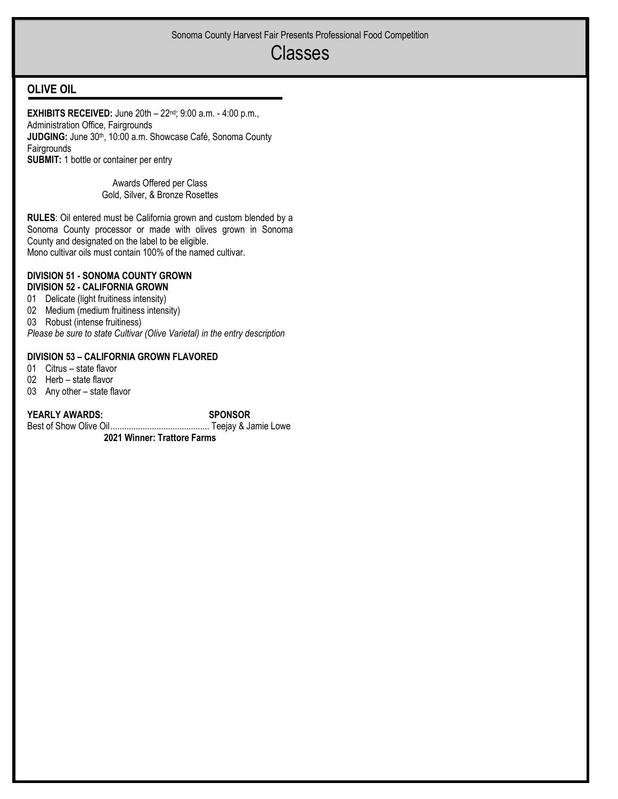# Classes

## **OLIVE OIL**

**EXHIBITS RECEIVED:** June 20th – 22nd; 9:00 a.m. - 4:00 p.m., Administration Office, Fairgrounds **JUDGING:** June 30<sup>th</sup>, 10:00 a.m. Showcase Café, Sonoma County Fairgrounds **SUBMIT:** 1 bottle or container per entry

> Awards Offered per Class Gold, Silver, & Bronze Rosettes

**RULES**: Oil entered must be California grown and custom blended by a Sonoma County processor or made with olives grown in Sonoma County and designated on the label to be eligible. Mono cultivar oils must contain 100% of the named cultivar.

#### **DIVISION 51 - SONOMA COUNTY GROWN DIVISION 52 - CALIFORNIA GROWN**

- 01 Delicate (light fruitiness intensity)
- 02 Medium (medium fruitiness intensity)
- 03 Robust (intense fruitiness)

*Please be sure to state Cultivar (Olive Varietal) in the entry description*

### **DIVISION 53 – CALIFORNIA GROWN FLAVORED**

01 Citrus – state flavor

- 02 Herb state flavor
- 03 Any other state flavor

**YEARLY AWARDS: SPONSOR**

Best of Show Olive Oil........................................... Teejay & Jamie Lowe

**2021 Winner: Trattore Farms**